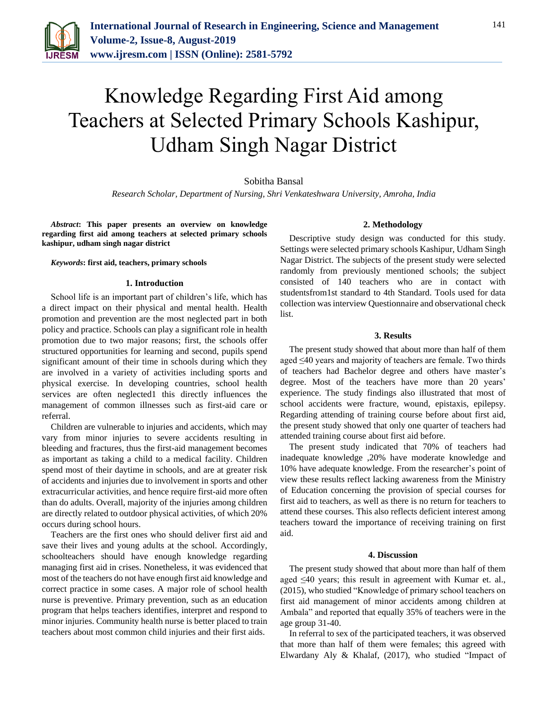

# Knowledge Regarding First Aid among Teachers at Selected Primary Schools Kashipur, Udham Singh Nagar District

Sobitha Bansal

*Research Scholar, Department of Nursing, Shri Venkateshwara University, Amroha, India*

*Abstract***: This paper presents an overview on knowledge regarding first aid among teachers at selected primary schools kashipur, udham singh nagar district**

*Keywords***: first aid, teachers, primary schools**

## **1. Introduction**

School life is an important part of children's life, which has a direct impact on their physical and mental health. Health promotion and prevention are the most neglected part in both policy and practice. Schools can play a significant role in health promotion due to two major reasons; first, the schools offer structured opportunities for learning and second, pupils spend significant amount of their time in schools during which they are involved in a variety of activities including sports and physical exercise. In developing countries, school health services are often neglected1 this directly influences the management of common illnesses such as first-aid care or referral.

Children are vulnerable to injuries and accidents, which may vary from minor injuries to severe accidents resulting in bleeding and fractures, thus the first-aid management becomes as important as taking a child to a medical facility. Children spend most of their daytime in schools, and are at greater risk of accidents and injuries due to involvement in sports and other extracurricular activities, and hence require first-aid more often than do adults. Overall, majority of the injuries among children are directly related to outdoor physical activities, of which 20% occurs during school hours.

Teachers are the first ones who should deliver first aid and save their lives and young adults at the school. Accordingly, schoolteachers should have enough knowledge regarding managing first aid in crises. Nonetheless, it was evidenced that most of the teachers do not have enough first aid knowledge and correct practice in some cases. A major role of school health nurse is preventive. Primary prevention, such as an education program that helps teachers identifies, interpret and respond to minor injuries. Community health nurse is better placed to train teachers about most common child injuries and their first aids.

# **2. Methodology**

Descriptive study design was conducted for this study. Settings were selected primary schools Kashipur, Udham Singh Nagar District. The subjects of the present study were selected randomly from previously mentioned schools; the subject consisted of 140 teachers who are in contact with studentsfrom1st standard to 4th Standard. Tools used for data collection was interview Questionnaire and observational check list.

# **3. Results**

The present study showed that about more than half of them aged ≤40 years and majority of teachers are female. Two thirds of teachers had Bachelor degree and others have master's degree. Most of the teachers have more than 20 years' experience. The study findings also illustrated that most of school accidents were fracture, wound, epistaxis, epilepsy. Regarding attending of training course before about first aid, the present study showed that only one quarter of teachers had attended training course about first aid before.

The present study indicated that 70% of teachers had inadequate knowledge ,20% have moderate knowledge and 10% have adequate knowledge. From the researcher's point of view these results reflect lacking awareness from the Ministry of Education concerning the provision of special courses for first aid to teachers, as well as there is no return for teachers to attend these courses. This also reflects deficient interest among teachers toward the importance of receiving training on first aid.

### **4. Discussion**

The present study showed that about more than half of them aged ≤40 years; this result in agreement with Kumar et. al., (2015), who studied "Knowledge of primary school teachers on first aid management of minor accidents among children at Ambala" and reported that equally 35% of teachers were in the age group 31-40.

In referral to sex of the participated teachers, it was observed that more than half of them were females; this agreed with Elwardany Aly & Khalaf, (2017), who studied "Impact of